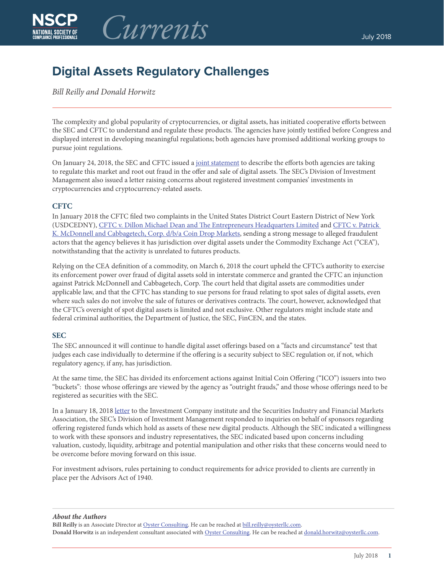

# **Digital Assets Regulatory Challenges**

## *Bill Reilly and Donald Horwitz*

The complexity and global popularity of cryptocurrencies, or digital assets, has initiated cooperative efforts between the SEC and CFTC to understand and regulate these products. The agencies have jointly testified before Congress and displayed interest in developing meaningful regulations; both agencies have promised additional working groups to pursue joint regulations.

On January 24, 2018, the SEC and CFTC issued a [joint statement](https://www.sec.gov/news/public-statement/joint-statement-sec-and-cftc-enforcement-directors) to describe the efforts both agencies are taking to regulate this market and root out fraud in the offer and sale of digital assets. The SEC's Division of Investment Management also issued a letter raising concerns about registered investment companies' investments in cryptocurrencies and cryptocurrency-related assets.

## **CFTC**

In January 2018 the CFTC filed two complaints in the United States District Court Eastern District of New York (USDCEDNY), [CFTC v. Dillon Michael Dean and The Entrepreneurs Headquarters Limited](https://www.cftc.gov/sites/default/files/idc/groups/public/@lrenforcementactions/documents/legalpleading/enfentrepreneurscomplt011818.pdf) and [CFTC v. Patrick](https://www.cftc.gov/sites/default/files/idc/groups/public/@lrenforcementactions/documents/legalpleading/enfcdmcomplaint011818.pdf)  [K. McDonnell and Cabbagetech, Corp. d/b/a Coin Drop Markets,](https://www.cftc.gov/sites/default/files/idc/groups/public/@lrenforcementactions/documents/legalpleading/enfcdmcomplaint011818.pdf) sending a strong message to alleged fraudulent actors that the agency believes it has jurisdiction over digital assets under the Commodity Exchange Act ("CEA"), notwithstanding that the activity is unrelated to futures products.

Relying on the CEA definition of a commodity, on March 6, 2018 the court upheld the CFTC's authority to exercise its enforcement power over fraud of digital assets sold in interstate commerce and granted the CFTC an injunction against Patrick McDonnell and Cabbagetech, Corp. The court held that digital assets are commodities under applicable law, and that the CFTC has standing to sue persons for fraud relating to spot sales of digital assets, even where such sales do not involve the sale of futures or derivatives contracts. The court, however, acknowledged that the CFTC's oversight of spot digital assets is limited and not exclusive. Other regulators might include state and federal criminal authorities, the Department of Justice, the SEC, FinCEN, and the states.

## **SEC**

The SEC announced it will continue to handle digital asset offerings based on a "facts and circumstance" test that judges each case individually to determine if the offering is a security subject to SEC regulation or, if not, which regulatory agency, if any, has jurisdiction.

At the same time, the SEC has divided its enforcement actions against Initial Coin Offering ("ICO") issuers into two "buckets": those whose offerings are viewed by the agency as "outright frauds," and those whose offerings need to be registered as securities with the SEC.

In a January 18, 2018 [letter](https://www.sec.gov/divisions/investment/noaction/2018/cryptocurrency-011818.htm) to the Investment Company institute and the Securities Industry and Financial Markets Association, the SEC's Division of Investment Management responded to inquiries on behalf of sponsors regarding offering registered funds which hold as assets of these new digital products. Although the SEC indicated a willingness to work with these sponsors and industry representatives, the SEC indicated based upon concerns including valuation, custody, liquidity, arbitrage and potential manipulation and other risks that these concerns would need to be overcome before moving forward on this issue.

For investment advisors, rules pertaining to conduct requirements for advice provided to clients are currently in place per the Advisors Act of 1940.

*About the Authors*

Bill Reilly is an Associate Director at [Oyster Consulting](http://oysterllc.com). He can be reached at [bill.reilly@oysterllc.com.](mailto:bill.reilly@oysterllc.com) **Donald Horwitz** is an independent consultant associated with [Oyster Consulting](http://oysterllc.com). He can be reached at [donald.horwitz@oysterllc.com.](mailto:donald.horwitz@oysterllc.com)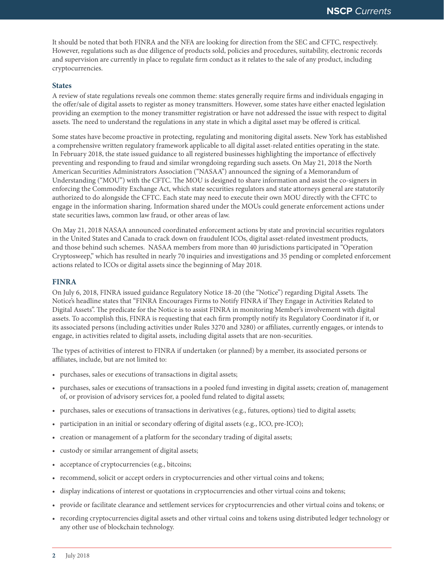It should be noted that both FINRA and the NFA are looking for direction from the SEC and CFTC, respectively. However, regulations such as due diligence of products sold, policies and procedures, suitability, electronic records and supervision are currently in place to regulate firm conduct as it relates to the sale of any product, including cryptocurrencies.

#### **States**

A review of state regulations reveals one common theme: states generally require firms and individuals engaging in the offer/sale of digital assets to register as money transmitters. However, some states have either enacted legislation providing an exemption to the money transmitter registration or have not addressed the issue with respect to digital assets. The need to understand the regulations in any state in which a digital asset may be offered is critical.

Some states have become proactive in protecting, regulating and monitoring digital assets. New York has established a comprehensive written regulatory framework applicable to all digital asset-related entities operating in the state. In February 2018, the state issued guidance to all registered businesses highlighting the importance of effectively preventing and responding to fraud and similar wrongdoing regarding such assets. On May 21, 2018 the North American Securities Administrators Association ("NASAA") announced the signing of a Memorandum of Understanding ("MOU") with the CFTC. The MOU is designed to share information and assist the co-signers in enforcing the Commodity Exchange Act, which state securities regulators and state attorneys general are statutorily authorized to do alongside the CFTC. Each state may need to execute their own MOU directly with the CFTC to engage in the information sharing. Information shared under the MOUs could generate enforcement actions under state securities laws, common law fraud, or other areas of law.

On May 21, 2018 NASAA announced coordinated enforcement actions by state and provincial securities regulators in the United States and Canada to crack down on fraudulent ICOs, digital asset-related investment products, and those behind such schemes. NASAA members from more than 40 jurisdictions participated in "Operation Cryptosweep," which has resulted in nearly 70 inquiries and investigations and 35 pending or completed enforcement actions related to ICOs or digital assets since the beginning of May 2018.

### **FINRA**

On July 6, 2018, FINRA issued guidance Regulatory Notice 18-20 (the "Notice") regarding Digital Assets. The Notice's headline states that "FINRA Encourages Firms to Notify FINRA if They Engage in Activities Related to Digital Assets". The predicate for the Notice is to assist FINRA in monitoring Member's involvement with digital assets. To accomplish this, FINRA is requesting that each firm promptly notify its Regulatory Coordinator if it, or its associated persons (including activities under Rules 3270 and 3280) or affiliates, currently engages, or intends to engage, in activities related to digital assets, including digital assets that are non-securities.

The types of activities of interest to FINRA if undertaken (or planned) by a member, its associated persons or affiliates, include, but are not limited to:

- purchases, sales or executions of transactions in digital assets;
- purchases, sales or executions of transactions in a pooled fund investing in digital assets; creation of, management of, or provision of advisory services for, a pooled fund related to digital assets;
- purchases, sales or executions of transactions in derivatives (e.g., futures, options) tied to digital assets;
- participation in an initial or secondary offering of digital assets (e.g., ICO, pre-ICO);
- creation or management of a platform for the secondary trading of digital assets;
- custody or similar arrangement of digital assets;
- acceptance of cryptocurrencies (e.g., bitcoins;
- recommend, solicit or accept orders in cryptocurrencies and other virtual coins and tokens;
- display indications of interest or quotations in cryptocurrencies and other virtual coins and tokens;
- provide or facilitate clearance and settlement services for cryptocurrencies and other virtual coins and tokens; or
- recording cryptocurrencies digital assets and other virtual coins and tokens using distributed ledger technology or any other use of blockchain technology.